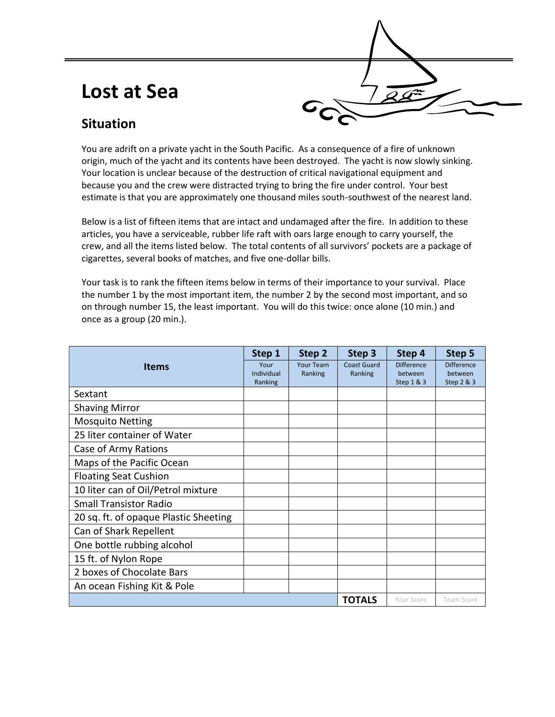## **Lost at Sea**



### **Situation**

You are adrift on a private yacht in the South Pacific. As a consequence of a fire of unknown origin, much of the yacht and its contents have been destroyed. The yacht is now slowly sinking. Your location is unclear because of the destruction of critical navigational equipment and because you and the crew were distracted trying to bring the fire under control. Your best estimate is that you are approximately one thousand miles south-southwest of the nearest land.

Below is a list of fifteen items that are intact and undamaged after the fire. In addition to these articles, you have a serviceable, rubber life raft with oars large enough to carry yourself, the crew, and all the items listed below. The total contents of all survivors' pockets are a package of cigarettes, several books of matches, and five one-dollar bills.

Your task is to rank the fifteen items below in terms of their importance to your survival. Place the number 1 by the most important item, the number 2 by the second most important, and so on through number 15, the least important. You will do this twice: once alone (10 min.) and once as a group (20 min.).

|                                       | Step 1                | Step 2           | Step 3             | Step 4                | Step 5                |
|---------------------------------------|-----------------------|------------------|--------------------|-----------------------|-----------------------|
| <b>Items</b>                          | Your                  | <b>Your Team</b> | <b>Coast Guard</b> | <b>Difference</b>     | <b>Difference</b>     |
|                                       | Individual<br>Ranking | Ranking          | Ranking            | between<br>Step 1 & 3 | between<br>Step 2 & 3 |
| Sextant                               |                       |                  |                    |                       |                       |
| <b>Shaving Mirror</b>                 |                       |                  |                    |                       |                       |
| <b>Mosquito Netting</b>               |                       |                  |                    |                       |                       |
| 25 liter container of Water           |                       |                  |                    |                       |                       |
| Case of Army Rations                  |                       |                  |                    |                       |                       |
| Maps of the Pacific Ocean             |                       |                  |                    |                       |                       |
| <b>Floating Seat Cushion</b>          |                       |                  |                    |                       |                       |
| 10 liter can of Oil/Petrol mixture    |                       |                  |                    |                       |                       |
| <b>Small Transistor Radio</b>         |                       |                  |                    |                       |                       |
| 20 sq. ft. of opaque Plastic Sheeting |                       |                  |                    |                       |                       |
| Can of Shark Repellent                |                       |                  |                    |                       |                       |
| One bottle rubbing alcohol            |                       |                  |                    |                       |                       |
| 15 ft. of Nylon Rope                  |                       |                  |                    |                       |                       |
| 2 boxes of Chocolate Bars             |                       |                  |                    |                       |                       |
| An ocean Fishing Kit & Pole           |                       |                  |                    |                       |                       |
|                                       |                       |                  | <b>TOTALS</b>      | Your Score            | Team Score            |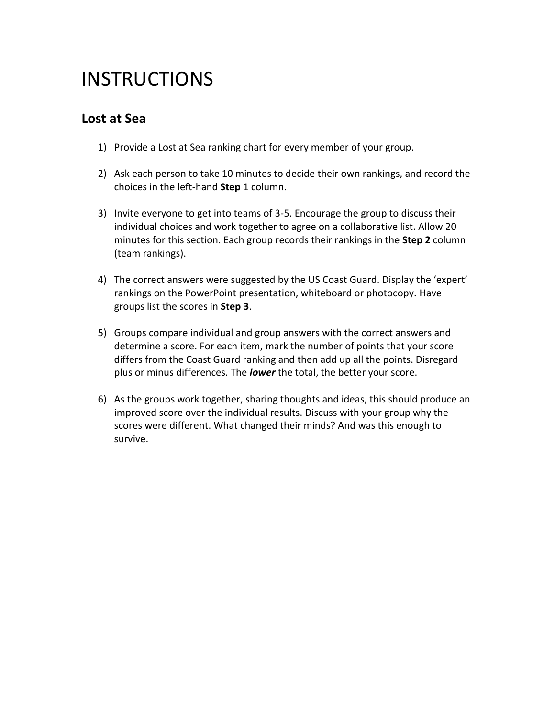## **INSTRUCTIONS**

#### **Lost at Sea**

- 1) Provide a Lost at Sea ranking chart for every member of your group.
- 2) Ask each person to take 10 minutes to decide their own rankings, and record the choices in the left-hand **Step** 1 column.
- 3) Invite everyone to get into teams of 3-5. Encourage the group to discuss their individual choices and work together to agree on a collaborative list. Allow 20 minutes for this section. Each group records their rankings in the **Step 2** column (team rankings).
- 4) The correct answers were suggested by the US Coast Guard. Display the 'expert' rankings on the PowerPoint presentation, whiteboard or photocopy. Have groups list the scores in **Step 3**.
- 5) Groups compare individual and group answers with the correct answers and determine a score. For each item, mark the number of points that your score differs from the Coast Guard ranking and then add up all the points. Disregard plus or minus differences. The *lower* the total, the better your score.
- 6) As the groups work together, sharing thoughts and ideas, this should produce an improved score over the individual results. Discuss with your group why the scores were different. What changed their minds? And was this enough to survive.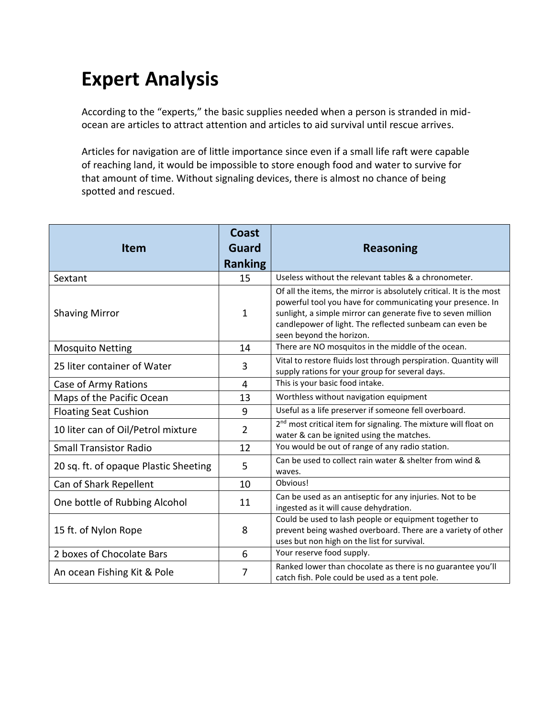# **Expert Analysis**

According to the "experts," the basic supplies needed when a person is stranded in midocean are articles to attract attention and articles to aid survival until rescue arrives.

Articles for navigation are of little importance since even if a small life raft were capable of reaching land, it would be impossible to store enough food and water to survive for that amount of time. Without signaling devices, there is almost no chance of being spotted and rescued.

| <b>Item</b>                           | <b>Coast</b><br><b>Guard</b><br><b>Ranking</b> | <b>Reasoning</b>                                                                                                                                                                                                                                                                         |
|---------------------------------------|------------------------------------------------|------------------------------------------------------------------------------------------------------------------------------------------------------------------------------------------------------------------------------------------------------------------------------------------|
| Sextant                               | 15                                             | Useless without the relevant tables & a chronometer.                                                                                                                                                                                                                                     |
| <b>Shaving Mirror</b>                 | 1                                              | Of all the items, the mirror is absolutely critical. It is the most<br>powerful tool you have for communicating your presence. In<br>sunlight, a simple mirror can generate five to seven million<br>candlepower of light. The reflected sunbeam can even be<br>seen beyond the horizon. |
| <b>Mosquito Netting</b>               | 14                                             | There are NO mosquitos in the middle of the ocean.                                                                                                                                                                                                                                       |
| 25 liter container of Water           | 3                                              | Vital to restore fluids lost through perspiration. Quantity will<br>supply rations for your group for several days.                                                                                                                                                                      |
| Case of Army Rations                  | 4                                              | This is your basic food intake.                                                                                                                                                                                                                                                          |
| Maps of the Pacific Ocean             | 13                                             | Worthless without navigation equipment                                                                                                                                                                                                                                                   |
| <b>Floating Seat Cushion</b>          | 9                                              | Useful as a life preserver if someone fell overboard.                                                                                                                                                                                                                                    |
| 10 liter can of Oil/Petrol mixture    | 2                                              | 2 <sup>nd</sup> most critical item for signaling. The mixture will float on<br>water & can be ignited using the matches.                                                                                                                                                                 |
| <b>Small Transistor Radio</b>         | 12                                             | You would be out of range of any radio station.                                                                                                                                                                                                                                          |
| 20 sq. ft. of opaque Plastic Sheeting | 5                                              | Can be used to collect rain water & shelter from wind &<br>waves.                                                                                                                                                                                                                        |
| Can of Shark Repellent                | 10                                             | Obvious!                                                                                                                                                                                                                                                                                 |
| One bottle of Rubbing Alcohol         | 11                                             | Can be used as an antiseptic for any injuries. Not to be<br>ingested as it will cause dehydration.                                                                                                                                                                                       |
| 15 ft. of Nylon Rope                  | 8                                              | Could be used to lash people or equipment together to<br>prevent being washed overboard. There are a variety of other<br>uses but non high on the list for survival.                                                                                                                     |
| 2 boxes of Chocolate Bars             | 6                                              | Your reserve food supply.                                                                                                                                                                                                                                                                |
| An ocean Fishing Kit & Pole           | 7                                              | Ranked lower than chocolate as there is no guarantee you'll<br>catch fish. Pole could be used as a tent pole.                                                                                                                                                                            |